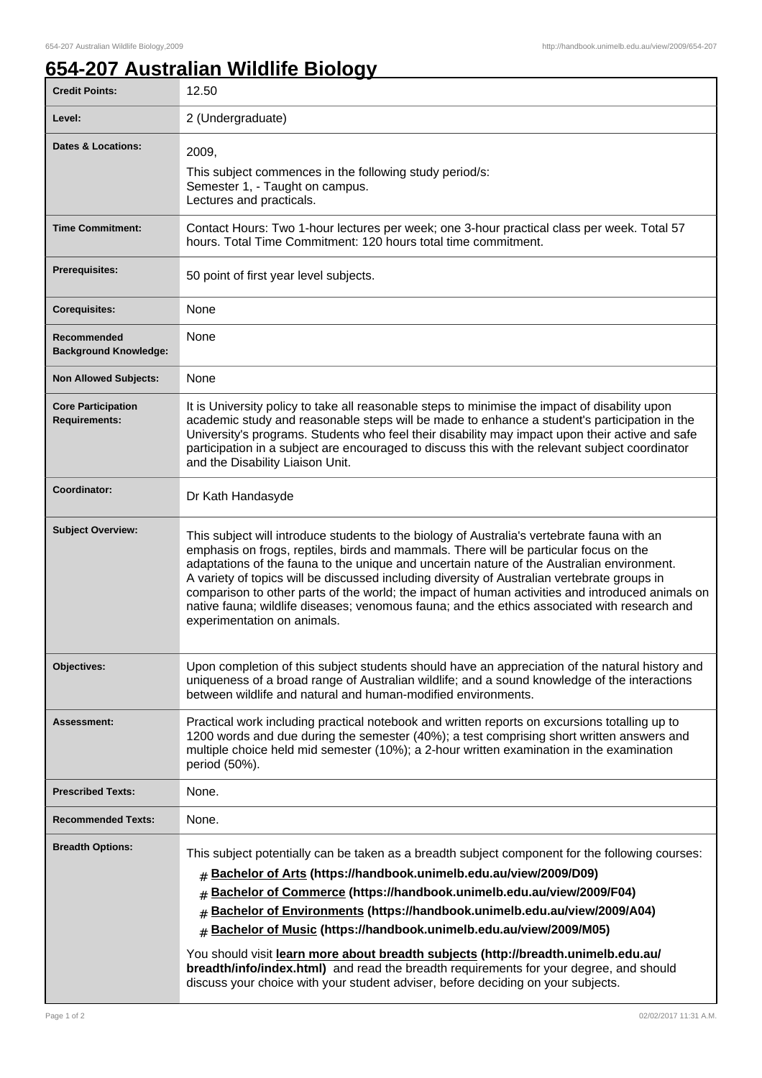## **654-207 Australian Wildlife Biology**

| <b>Credit Points:</b>                             | 12.50                                                                                                                                                                                                                                                                                                                                                                                                                                                                                                                                                                                                                                                                               |
|---------------------------------------------------|-------------------------------------------------------------------------------------------------------------------------------------------------------------------------------------------------------------------------------------------------------------------------------------------------------------------------------------------------------------------------------------------------------------------------------------------------------------------------------------------------------------------------------------------------------------------------------------------------------------------------------------------------------------------------------------|
| Level:                                            | 2 (Undergraduate)                                                                                                                                                                                                                                                                                                                                                                                                                                                                                                                                                                                                                                                                   |
| <b>Dates &amp; Locations:</b>                     | 2009.<br>This subject commences in the following study period/s:<br>Semester 1, - Taught on campus.<br>Lectures and practicals.                                                                                                                                                                                                                                                                                                                                                                                                                                                                                                                                                     |
| <b>Time Commitment:</b>                           | Contact Hours: Two 1-hour lectures per week; one 3-hour practical class per week. Total 57<br>hours. Total Time Commitment: 120 hours total time commitment.                                                                                                                                                                                                                                                                                                                                                                                                                                                                                                                        |
| Prerequisites:                                    | 50 point of first year level subjects.                                                                                                                                                                                                                                                                                                                                                                                                                                                                                                                                                                                                                                              |
| <b>Corequisites:</b>                              | None                                                                                                                                                                                                                                                                                                                                                                                                                                                                                                                                                                                                                                                                                |
| Recommended<br><b>Background Knowledge:</b>       | None                                                                                                                                                                                                                                                                                                                                                                                                                                                                                                                                                                                                                                                                                |
| <b>Non Allowed Subjects:</b>                      | None                                                                                                                                                                                                                                                                                                                                                                                                                                                                                                                                                                                                                                                                                |
| <b>Core Participation</b><br><b>Requirements:</b> | It is University policy to take all reasonable steps to minimise the impact of disability upon<br>academic study and reasonable steps will be made to enhance a student's participation in the<br>University's programs. Students who feel their disability may impact upon their active and safe<br>participation in a subject are encouraged to discuss this with the relevant subject coordinator<br>and the Disability Liaison Unit.                                                                                                                                                                                                                                            |
| Coordinator:                                      | Dr Kath Handasyde                                                                                                                                                                                                                                                                                                                                                                                                                                                                                                                                                                                                                                                                   |
| <b>Subject Overview:</b>                          | This subject will introduce students to the biology of Australia's vertebrate fauna with an<br>emphasis on frogs, reptiles, birds and mammals. There will be particular focus on the<br>adaptations of the fauna to the unique and uncertain nature of the Australian environment.<br>A variety of topics will be discussed including diversity of Australian vertebrate groups in<br>comparison to other parts of the world; the impact of human activities and introduced animals on<br>native fauna; wildlife diseases; venomous fauna; and the ethics associated with research and<br>experimentation on animals.                                                               |
| Objectives:                                       | Upon completion of this subject students should have an appreciation of the natural history and<br>uniqueness of a broad range of Australian wildlife; and a sound knowledge of the interactions<br>between wildlife and natural and human-modified environments.                                                                                                                                                                                                                                                                                                                                                                                                                   |
| Assessment:                                       | Practical work including practical notebook and written reports on excursions totalling up to<br>1200 words and due during the semester (40%); a test comprising short written answers and<br>multiple choice held mid semester (10%); a 2-hour written examination in the examination<br>period (50%).                                                                                                                                                                                                                                                                                                                                                                             |
| <b>Prescribed Texts:</b>                          | None.                                                                                                                                                                                                                                                                                                                                                                                                                                                                                                                                                                                                                                                                               |
| <b>Recommended Texts:</b>                         | None.                                                                                                                                                                                                                                                                                                                                                                                                                                                                                                                                                                                                                                                                               |
| <b>Breadth Options:</b>                           | This subject potentially can be taken as a breadth subject component for the following courses:<br>Bachelor of Arts (https://handbook.unimelb.edu.au/view/2009/D09)<br>#<br>Bachelor of Commerce (https://handbook.unimelb.edu.au/view/2009/F04)<br>#<br>Bachelor of Environments (https://handbook.unimelb.edu.au/view/2009/A04)<br>Bachelor of Music (https://handbook.unimelb.edu.au/view/2009/M05)<br>$\pm$<br>You should visit learn more about breadth subjects (http://breadth.unimelb.edu.au/<br>breadth/info/index.html) and read the breadth requirements for your degree, and should<br>discuss your choice with your student adviser, before deciding on your subjects. |